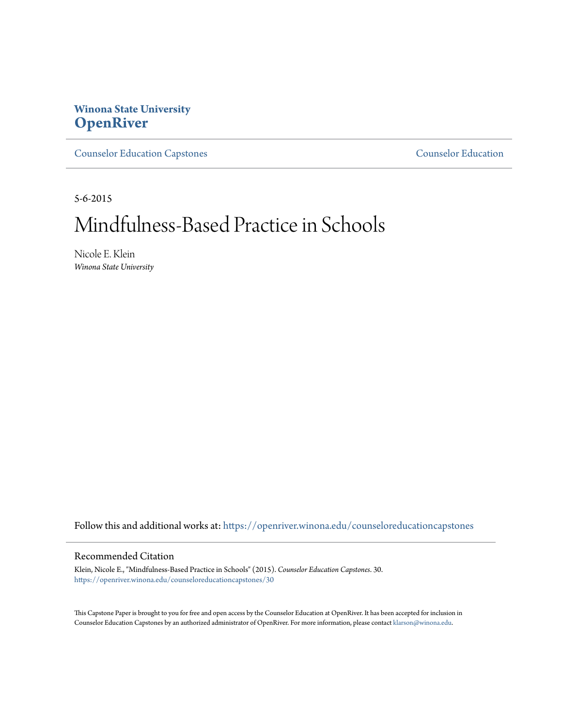# **Winona State University [OpenRiver](https://openriver.winona.edu?utm_source=openriver.winona.edu%2Fcounseloreducationcapstones%2F30&utm_medium=PDF&utm_campaign=PDFCoverPages)**

[Counselor Education Capstones](https://openriver.winona.edu/counseloreducationcapstones?utm_source=openriver.winona.edu%2Fcounseloreducationcapstones%2F30&utm_medium=PDF&utm_campaign=PDFCoverPages) [Counselor Education](https://openriver.winona.edu/counseloreducation?utm_source=openriver.winona.edu%2Fcounseloreducationcapstones%2F30&utm_medium=PDF&utm_campaign=PDFCoverPages)

5-6-2015

# Mindfulness-Based Practice in Schools

Nicole E. Klein *Winona State University*

Follow this and additional works at: [https://openriver.winona.edu/counseloreducationcapstones](https://openriver.winona.edu/counseloreducationcapstones?utm_source=openriver.winona.edu%2Fcounseloreducationcapstones%2F30&utm_medium=PDF&utm_campaign=PDFCoverPages)

#### Recommended Citation

Klein, Nicole E., "Mindfulness-Based Practice in Schools" (2015). *Counselor Education Capstones*. 30. [https://openriver.winona.edu/counseloreducationcapstones/30](https://openriver.winona.edu/counseloreducationcapstones/30?utm_source=openriver.winona.edu%2Fcounseloreducationcapstones%2F30&utm_medium=PDF&utm_campaign=PDFCoverPages)

This Capstone Paper is brought to you for free and open access by the Counselor Education at OpenRiver. It has been accepted for inclusion in Counselor Education Capstones by an authorized administrator of OpenRiver. For more information, please contact [klarson@winona.edu](mailto:klarson@winona.edu).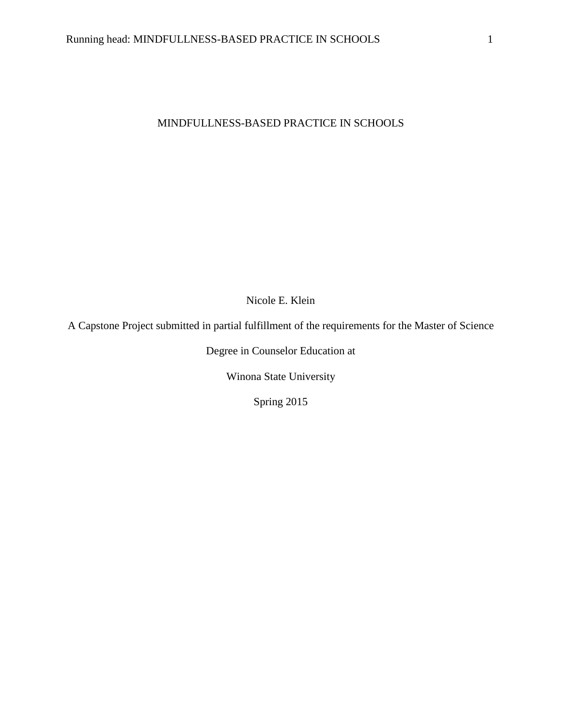## MINDFULLNESS-BASED PRACTICE IN SCHOOLS

Nicole E. Klein

A Capstone Project submitted in partial fulfillment of the requirements for the Master of Science

Degree in Counselor Education at

Winona State University

Spring 2015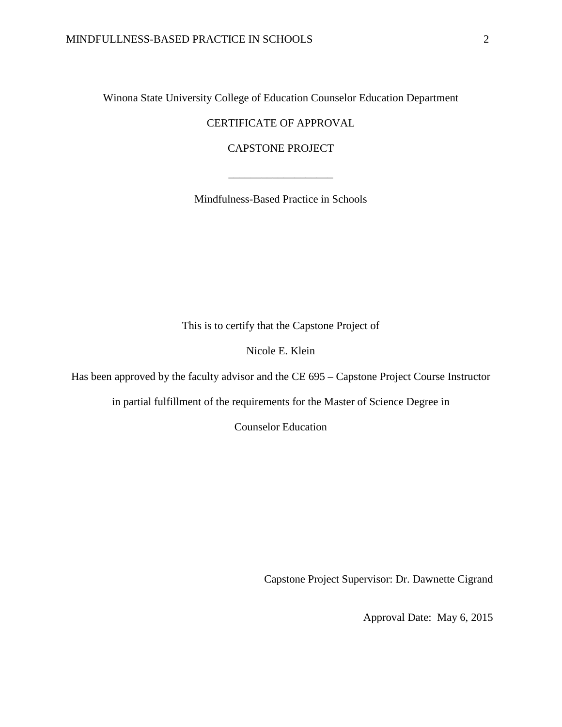Winona State University College of Education Counselor Education Department

CERTIFICATE OF APPROVAL

CAPSTONE PROJECT

Mindfulness-Based Practice in Schools

\_\_\_\_\_\_\_\_\_\_\_\_\_\_\_\_\_\_\_

This is to certify that the Capstone Project of

Nicole E. Klein

Has been approved by the faculty advisor and the CE 695 – Capstone Project Course Instructor

in partial fulfillment of the requirements for the Master of Science Degree in

Counselor Education

Capstone Project Supervisor: Dr. Dawnette Cigrand

Approval Date: May 6, 2015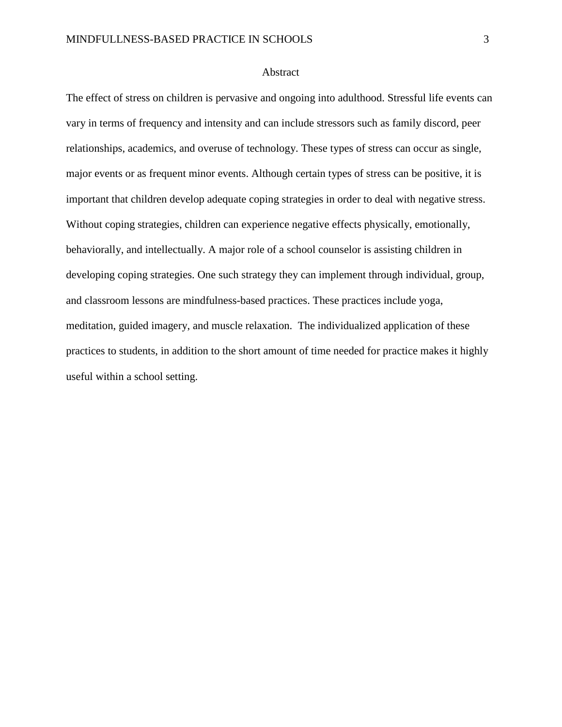#### Abstract

The effect of stress on children is pervasive and ongoing into adulthood. Stressful life events can vary in terms of frequency and intensity and can include stressors such as family discord, peer relationships, academics, and overuse of technology. These types of stress can occur as single, major events or as frequent minor events. Although certain types of stress can be positive, it is important that children develop adequate coping strategies in order to deal with negative stress. Without coping strategies, children can experience negative effects physically, emotionally, behaviorally, and intellectually. A major role of a school counselor is assisting children in developing coping strategies. One such strategy they can implement through individual, group, and classroom lessons are mindfulness-based practices. These practices include yoga, meditation, guided imagery, and muscle relaxation. The individualized application of these practices to students, in addition to the short amount of time needed for practice makes it highly useful within a school setting.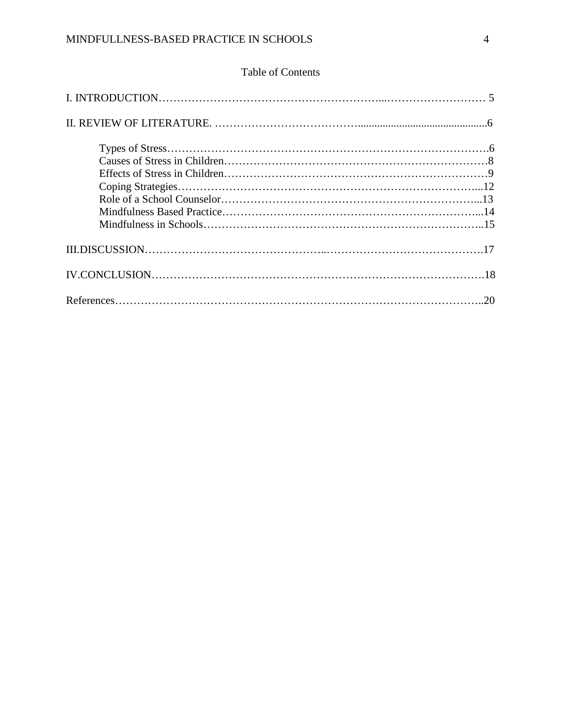## Table of Contents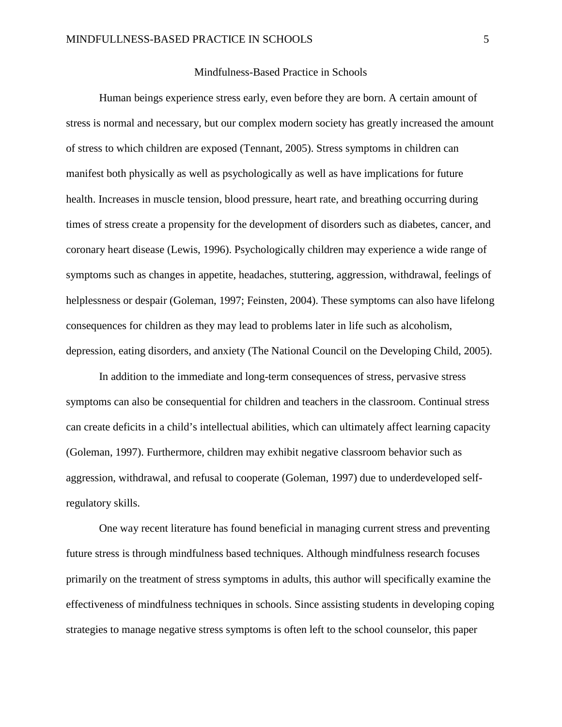#### Mindfulness-Based Practice in Schools

Human beings experience stress early, even before they are born. A certain amount of stress is normal and necessary, but our complex modern society has greatly increased the amount of stress to which children are exposed (Tennant, 2005). Stress symptoms in children can manifest both physically as well as psychologically as well as have implications for future health. Increases in muscle tension, blood pressure, heart rate, and breathing occurring during times of stress create a propensity for the development of disorders such as diabetes, cancer, and coronary heart disease (Lewis, 1996). Psychologically children may experience a wide range of symptoms such as changes in appetite, headaches, stuttering, aggression, withdrawal, feelings of helplessness or despair (Goleman, 1997; Feinsten, 2004). These symptoms can also have lifelong consequences for children as they may lead to problems later in life such as alcoholism, depression, eating disorders, and anxiety (The National Council on the Developing Child, 2005).

In addition to the immediate and long-term consequences of stress, pervasive stress symptoms can also be consequential for children and teachers in the classroom. Continual stress can create deficits in a child's intellectual abilities, which can ultimately affect learning capacity (Goleman, 1997). Furthermore, children may exhibit negative classroom behavior such as aggression, withdrawal, and refusal to cooperate (Goleman, 1997) due to underdeveloped selfregulatory skills.

One way recent literature has found beneficial in managing current stress and preventing future stress is through mindfulness based techniques. Although mindfulness research focuses primarily on the treatment of stress symptoms in adults, this author will specifically examine the effectiveness of mindfulness techniques in schools. Since assisting students in developing coping strategies to manage negative stress symptoms is often left to the school counselor, this paper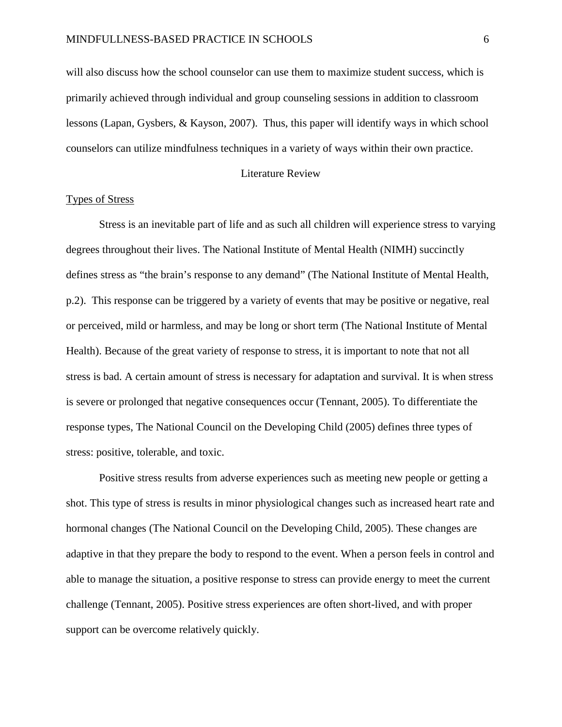will also discuss how the school counselor can use them to maximize student success, which is primarily achieved through individual and group counseling sessions in addition to classroom lessons (Lapan, Gysbers, & Kayson, 2007). Thus, this paper will identify ways in which school counselors can utilize mindfulness techniques in a variety of ways within their own practice.

#### Literature Review

#### Types of Stress

Stress is an inevitable part of life and as such all children will experience stress to varying degrees throughout their lives. The National Institute of Mental Health (NIMH) succinctly defines stress as "the brain's response to any demand" (The National Institute of Mental Health, p.2). This response can be triggered by a variety of events that may be positive or negative, real or perceived, mild or harmless, and may be long or short term (The National Institute of Mental Health). Because of the great variety of response to stress, it is important to note that not all stress is bad. A certain amount of stress is necessary for adaptation and survival. It is when stress is severe or prolonged that negative consequences occur (Tennant, 2005). To differentiate the response types, The National Council on the Developing Child (2005) defines three types of stress: positive, tolerable, and toxic.

Positive stress results from adverse experiences such as meeting new people or getting a shot. This type of stress is results in minor physiological changes such as increased heart rate and hormonal changes (The National Council on the Developing Child, 2005). These changes are adaptive in that they prepare the body to respond to the event. When a person feels in control and able to manage the situation, a positive response to stress can provide energy to meet the current challenge (Tennant, 2005). Positive stress experiences are often short-lived, and with proper support can be overcome relatively quickly.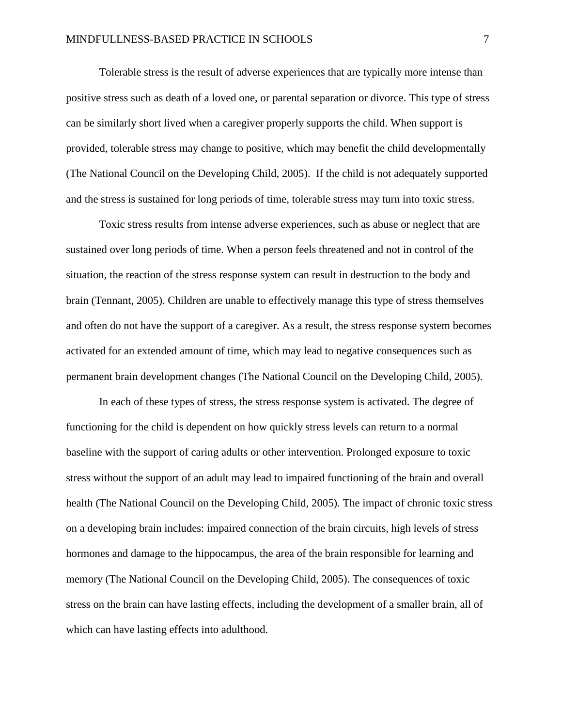Tolerable stress is the result of adverse experiences that are typically more intense than positive stress such as death of a loved one, or parental separation or divorce. This type of stress can be similarly short lived when a caregiver properly supports the child. When support is provided, tolerable stress may change to positive, which may benefit the child developmentally (The National Council on the Developing Child, 2005). If the child is not adequately supported and the stress is sustained for long periods of time, tolerable stress may turn into toxic stress.

Toxic stress results from intense adverse experiences, such as abuse or neglect that are sustained over long periods of time. When a person feels threatened and not in control of the situation, the reaction of the stress response system can result in destruction to the body and brain (Tennant, 2005). Children are unable to effectively manage this type of stress themselves and often do not have the support of a caregiver. As a result, the stress response system becomes activated for an extended amount of time, which may lead to negative consequences such as permanent brain development changes (The National Council on the Developing Child, 2005).

In each of these types of stress, the stress response system is activated. The degree of functioning for the child is dependent on how quickly stress levels can return to a normal baseline with the support of caring adults or other intervention. Prolonged exposure to toxic stress without the support of an adult may lead to impaired functioning of the brain and overall health (The National Council on the Developing Child, 2005). The impact of chronic toxic stress on a developing brain includes: impaired connection of the brain circuits, high levels of stress hormones and damage to the hippocampus, the area of the brain responsible for learning and memory (The National Council on the Developing Child, 2005). The consequences of toxic stress on the brain can have lasting effects, including the development of a smaller brain, all of which can have lasting effects into adulthood.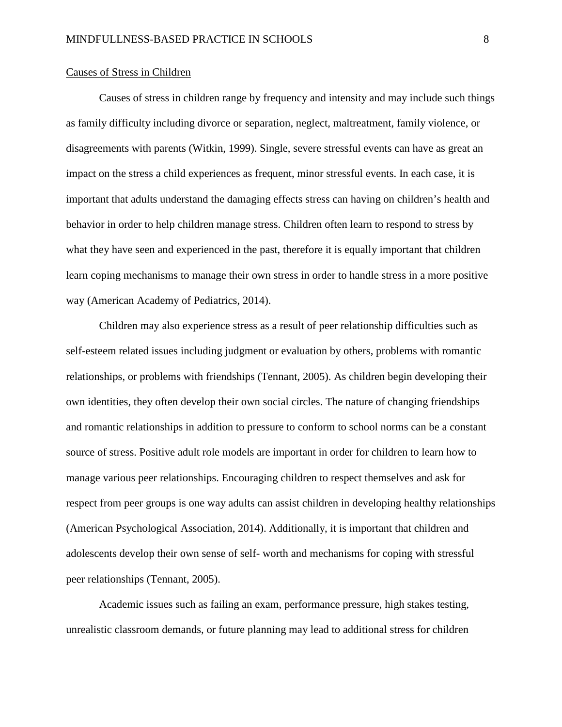#### Causes of Stress in Children

Causes of stress in children range by frequency and intensity and may include such things as family difficulty including divorce or separation, neglect, maltreatment, family violence, or disagreements with parents (Witkin, 1999). Single, severe stressful events can have as great an impact on the stress a child experiences as frequent, minor stressful events. In each case, it is important that adults understand the damaging effects stress can having on children's health and behavior in order to help children manage stress. Children often learn to respond to stress by what they have seen and experienced in the past, therefore it is equally important that children learn coping mechanisms to manage their own stress in order to handle stress in a more positive way (American Academy of Pediatrics, 2014).

Children may also experience stress as a result of peer relationship difficulties such as self-esteem related issues including judgment or evaluation by others, problems with romantic relationships, or problems with friendships (Tennant, 2005). As children begin developing their own identities, they often develop their own social circles. The nature of changing friendships and romantic relationships in addition to pressure to conform to school norms can be a constant source of stress. Positive adult role models are important in order for children to learn how to manage various peer relationships. Encouraging children to respect themselves and ask for respect from peer groups is one way adults can assist children in developing healthy relationships (American Psychological Association, 2014). Additionally, it is important that children and adolescents develop their own sense of self- worth and mechanisms for coping with stressful peer relationships (Tennant, 2005).

Academic issues such as failing an exam, performance pressure, high stakes testing, unrealistic classroom demands, or future planning may lead to additional stress for children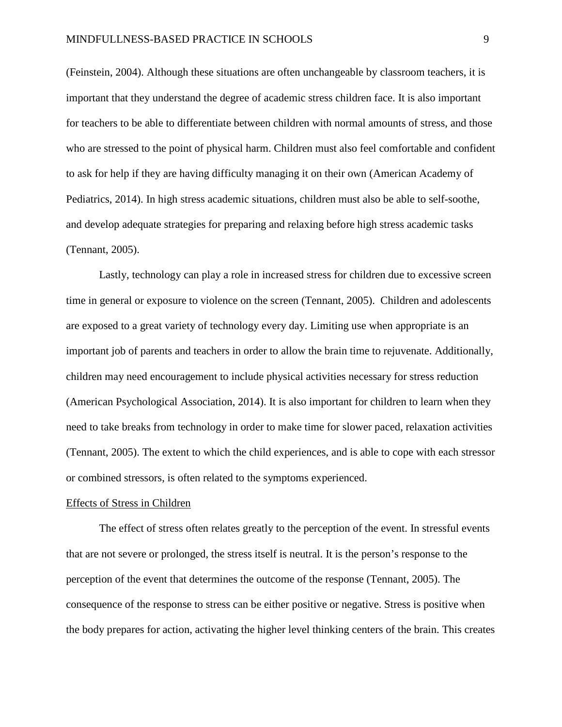(Feinstein, 2004). Although these situations are often unchangeable by classroom teachers, it is important that they understand the degree of academic stress children face. It is also important for teachers to be able to differentiate between children with normal amounts of stress, and those who are stressed to the point of physical harm. Children must also feel comfortable and confident to ask for help if they are having difficulty managing it on their own (American Academy of Pediatrics, 2014). In high stress academic situations, children must also be able to self-soothe, and develop adequate strategies for preparing and relaxing before high stress academic tasks (Tennant, 2005).

Lastly, technology can play a role in increased stress for children due to excessive screen time in general or exposure to violence on the screen (Tennant, 2005). Children and adolescents are exposed to a great variety of technology every day. Limiting use when appropriate is an important job of parents and teachers in order to allow the brain time to rejuvenate. Additionally, children may need encouragement to include physical activities necessary for stress reduction (American Psychological Association, 2014). It is also important for children to learn when they need to take breaks from technology in order to make time for slower paced, relaxation activities (Tennant, 2005). The extent to which the child experiences, and is able to cope with each stressor or combined stressors, is often related to the symptoms experienced.

#### Effects of Stress in Children

The effect of stress often relates greatly to the perception of the event. In stressful events that are not severe or prolonged, the stress itself is neutral. It is the person's response to the perception of the event that determines the outcome of the response (Tennant, 2005). The consequence of the response to stress can be either positive or negative. Stress is positive when the body prepares for action, activating the higher level thinking centers of the brain. This creates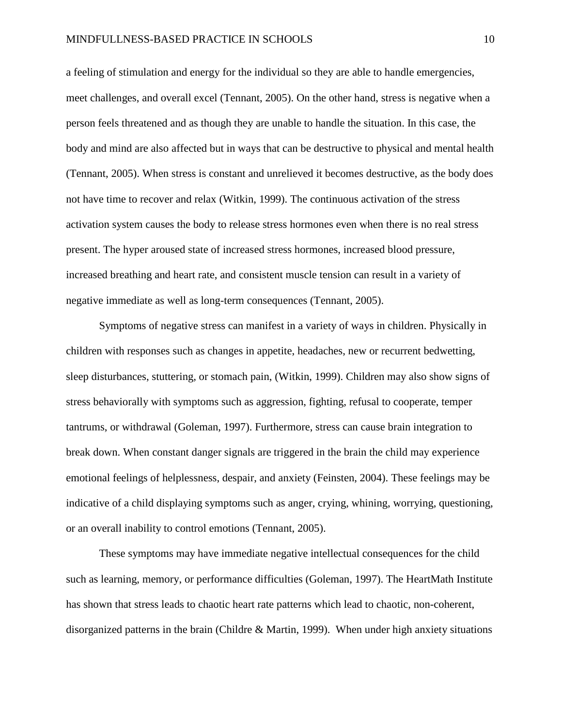a feeling of stimulation and energy for the individual so they are able to handle emergencies, meet challenges, and overall excel (Tennant, 2005). On the other hand, stress is negative when a person feels threatened and as though they are unable to handle the situation. In this case, the body and mind are also affected but in ways that can be destructive to physical and mental health (Tennant, 2005). When stress is constant and unrelieved it becomes destructive, as the body does not have time to recover and relax (Witkin, 1999). The continuous activation of the stress activation system causes the body to release stress hormones even when there is no real stress present. The hyper aroused state of increased stress hormones, increased blood pressure, increased breathing and heart rate, and consistent muscle tension can result in a variety of negative immediate as well as long-term consequences (Tennant, 2005).

Symptoms of negative stress can manifest in a variety of ways in children. Physically in children with responses such as changes in appetite, headaches, new or recurrent bedwetting, sleep disturbances, stuttering, or stomach pain, (Witkin, 1999). Children may also show signs of stress behaviorally with symptoms such as aggression, fighting, refusal to cooperate, temper tantrums, or withdrawal (Goleman, 1997). Furthermore, stress can cause brain integration to break down. When constant danger signals are triggered in the brain the child may experience emotional feelings of helplessness, despair, and anxiety (Feinsten, 2004). These feelings may be indicative of a child displaying symptoms such as anger, crying, whining, worrying, questioning, or an overall inability to control emotions (Tennant, 2005).

These symptoms may have immediate negative intellectual consequences for the child such as learning, memory, or performance difficulties (Goleman, 1997). The HeartMath Institute has shown that stress leads to chaotic heart rate patterns which lead to chaotic, non-coherent, disorganized patterns in the brain (Childre & Martin, 1999). When under high anxiety situations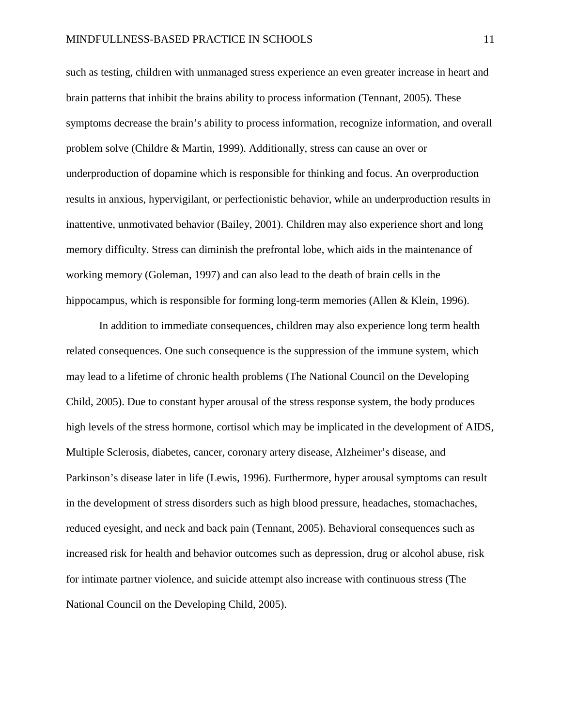such as testing, children with unmanaged stress experience an even greater increase in heart and brain patterns that inhibit the brains ability to process information (Tennant, 2005). These symptoms decrease the brain's ability to process information, recognize information, and overall problem solve (Childre & Martin, 1999). Additionally, stress can cause an over or underproduction of dopamine which is responsible for thinking and focus. An overproduction results in anxious, hypervigilant, or perfectionistic behavior, while an underproduction results in inattentive, unmotivated behavior (Bailey, 2001). Children may also experience short and long memory difficulty. Stress can diminish the prefrontal lobe, which aids in the maintenance of working memory (Goleman, 1997) and can also lead to the death of brain cells in the hippocampus, which is responsible for forming long-term memories (Allen & Klein, 1996).

In addition to immediate consequences, children may also experience long term health related consequences. One such consequence is the suppression of the immune system, which may lead to a lifetime of chronic health problems (The National Council on the Developing Child, 2005). Due to constant hyper arousal of the stress response system, the body produces high levels of the stress hormone, cortisol which may be implicated in the development of AIDS, Multiple Sclerosis, diabetes, cancer, coronary artery disease, Alzheimer's disease, and Parkinson's disease later in life (Lewis, 1996). Furthermore, hyper arousal symptoms can result in the development of stress disorders such as high blood pressure, headaches, stomachaches, reduced eyesight, and neck and back pain (Tennant, 2005). Behavioral consequences such as increased risk for health and behavior outcomes such as depression, drug or alcohol abuse, risk for intimate partner violence, and suicide attempt also increase with continuous stress (The National Council on the Developing Child, 2005).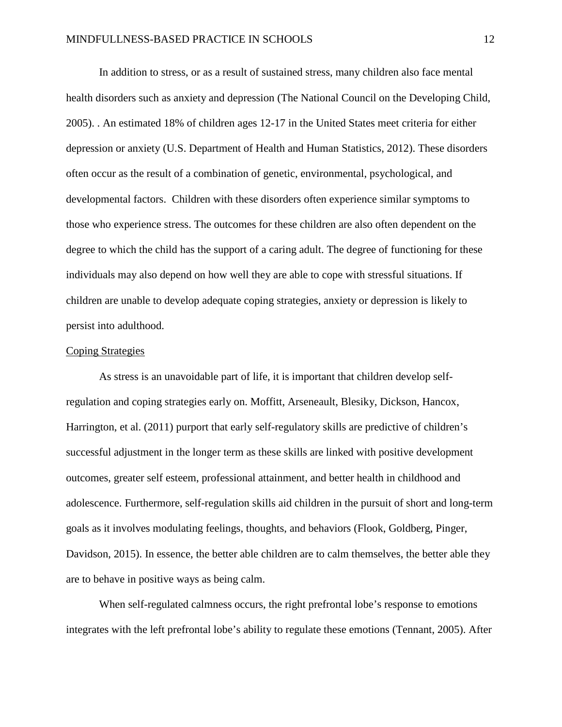In addition to stress, or as a result of sustained stress, many children also face mental health disorders such as anxiety and depression (The National Council on the Developing Child, 2005). . An estimated 18% of children ages 12-17 in the United States meet criteria for either depression or anxiety (U.S. Department of Health and Human Statistics, 2012). These disorders often occur as the result of a combination of genetic, environmental, psychological, and developmental factors. Children with these disorders often experience similar symptoms to those who experience stress. The outcomes for these children are also often dependent on the degree to which the child has the support of a caring adult. The degree of functioning for these individuals may also depend on how well they are able to cope with stressful situations. If children are unable to develop adequate coping strategies, anxiety or depression is likely to persist into adulthood.

### Coping Strategies

As stress is an unavoidable part of life, it is important that children develop selfregulation and coping strategies early on. Moffitt, Arseneault, Blesiky, Dickson, Hancox, Harrington, et al. (2011) purport that early self-regulatory skills are predictive of children's successful adjustment in the longer term as these skills are linked with positive development outcomes, greater self esteem, professional attainment, and better health in childhood and adolescence. Furthermore, self-regulation skills aid children in the pursuit of short and long-term goals as it involves modulating feelings, thoughts, and behaviors (Flook, Goldberg, Pinger, Davidson, 2015). In essence, the better able children are to calm themselves, the better able they are to behave in positive ways as being calm.

When self-regulated calmness occurs, the right prefrontal lobe's response to emotions integrates with the left prefrontal lobe's ability to regulate these emotions (Tennant, 2005). After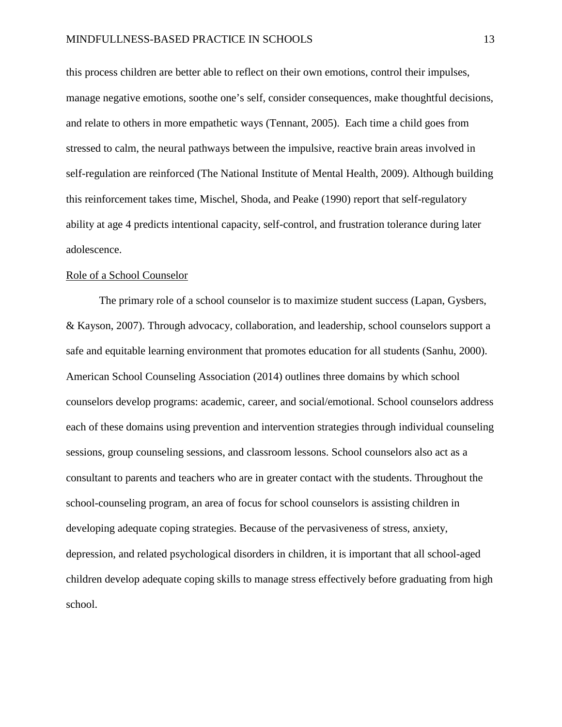this process children are better able to reflect on their own emotions, control their impulses, manage negative emotions, soothe one's self, consider consequences, make thoughtful decisions, and relate to others in more empathetic ways (Tennant, 2005). Each time a child goes from stressed to calm, the neural pathways between the impulsive, reactive brain areas involved in self-regulation are reinforced (The National Institute of Mental Health, 2009). Although building this reinforcement takes time, Mischel, Shoda, and Peake (1990) report that self-regulatory ability at age 4 predicts intentional capacity, self-control, and frustration tolerance during later adolescence.

#### Role of a School Counselor

The primary role of a school counselor is to maximize student success (Lapan, Gysbers, & Kayson, 2007). Through advocacy, collaboration, and leadership, school counselors support a safe and equitable learning environment that promotes education for all students (Sanhu, 2000). American School Counseling Association (2014) outlines three domains by which school counselors develop programs: academic, career, and social/emotional. School counselors address each of these domains using prevention and intervention strategies through individual counseling sessions, group counseling sessions, and classroom lessons. School counselors also act as a consultant to parents and teachers who are in greater contact with the students. Throughout the school-counseling program, an area of focus for school counselors is assisting children in developing adequate coping strategies. Because of the pervasiveness of stress, anxiety, depression, and related psychological disorders in children, it is important that all school-aged children develop adequate coping skills to manage stress effectively before graduating from high school.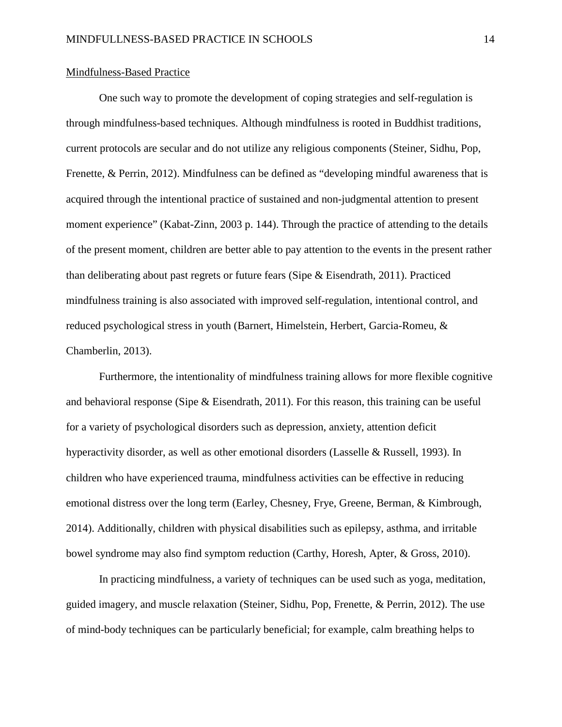#### Mindfulness-Based Practice

One such way to promote the development of coping strategies and self-regulation is through mindfulness-based techniques. Although mindfulness is rooted in Buddhist traditions, current protocols are secular and do not utilize any religious components (Steiner, Sidhu, Pop, Frenette, & Perrin, 2012). Mindfulness can be defined as "developing mindful awareness that is acquired through the intentional practice of sustained and non-judgmental attention to present moment experience" (Kabat-Zinn, 2003 p. 144). Through the practice of attending to the details of the present moment, children are better able to pay attention to the events in the present rather than deliberating about past regrets or future fears (Sipe & Eisendrath, 2011). Practiced mindfulness training is also associated with improved self-regulation, intentional control, and reduced psychological stress in youth (Barnert, Himelstein, Herbert, Garcia-Romeu, & Chamberlin, 2013).

Furthermore, the intentionality of mindfulness training allows for more flexible cognitive and behavioral response (Sipe  $\&$  Eisendrath, 2011). For this reason, this training can be useful for a variety of psychological disorders such as depression, anxiety, attention deficit hyperactivity disorder, as well as other emotional disorders (Lasselle & Russell, 1993). In children who have experienced trauma, mindfulness activities can be effective in reducing emotional distress over the long term (Earley, Chesney, Frye, Greene, Berman, & Kimbrough, 2014). Additionally, children with physical disabilities such as epilepsy, asthma, and irritable bowel syndrome may also find symptom reduction (Carthy, Horesh, Apter, & Gross, 2010).

In practicing mindfulness, a variety of techniques can be used such as yoga, meditation, guided imagery, and muscle relaxation (Steiner, Sidhu, Pop, Frenette, & Perrin, 2012). The use of mind-body techniques can be particularly beneficial; for example, calm breathing helps to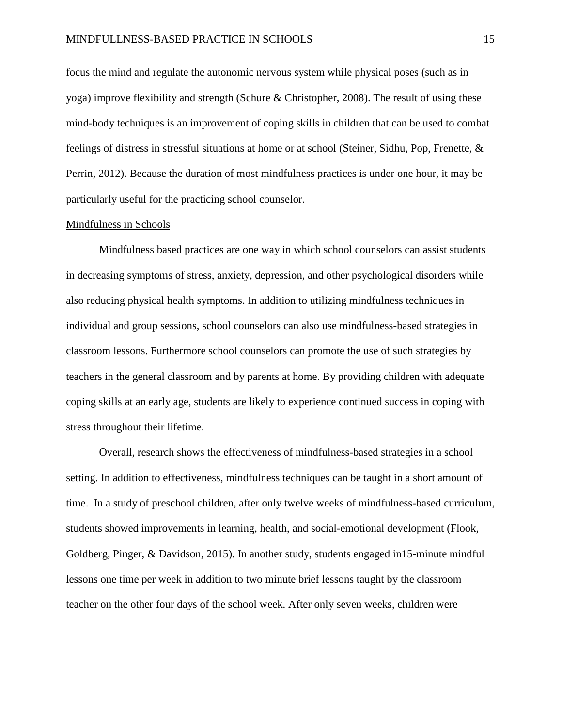focus the mind and regulate the autonomic nervous system while physical poses (such as in yoga) improve flexibility and strength (Schure & Christopher, 2008). The result of using these mind-body techniques is an improvement of coping skills in children that can be used to combat feelings of distress in stressful situations at home or at school (Steiner, Sidhu, Pop, Frenette, & Perrin, 2012). Because the duration of most mindfulness practices is under one hour, it may be particularly useful for the practicing school counselor.

#### Mindfulness in Schools

Mindfulness based practices are one way in which school counselors can assist students in decreasing symptoms of stress, anxiety, depression, and other psychological disorders while also reducing physical health symptoms. In addition to utilizing mindfulness techniques in individual and group sessions, school counselors can also use mindfulness-based strategies in classroom lessons. Furthermore school counselors can promote the use of such strategies by teachers in the general classroom and by parents at home. By providing children with adequate coping skills at an early age, students are likely to experience continued success in coping with stress throughout their lifetime.

Overall, research shows the effectiveness of mindfulness-based strategies in a school setting. In addition to effectiveness, mindfulness techniques can be taught in a short amount of time. In a study of preschool children, after only twelve weeks of mindfulness-based curriculum, students showed improvements in learning, health, and social-emotional development (Flook, Goldberg, Pinger, & Davidson, 2015). In another study, students engaged in15-minute mindful lessons one time per week in addition to two minute brief lessons taught by the classroom teacher on the other four days of the school week. After only seven weeks, children were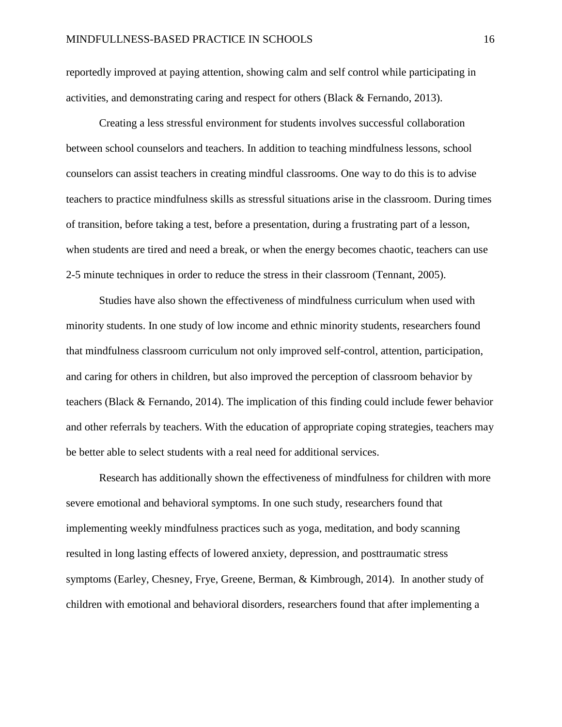reportedly improved at paying attention, showing calm and self control while participating in activities, and demonstrating caring and respect for others (Black & Fernando, 2013).

Creating a less stressful environment for students involves successful collaboration between school counselors and teachers. In addition to teaching mindfulness lessons, school counselors can assist teachers in creating mindful classrooms. One way to do this is to advise teachers to practice mindfulness skills as stressful situations arise in the classroom. During times of transition, before taking a test, before a presentation, during a frustrating part of a lesson, when students are tired and need a break, or when the energy becomes chaotic, teachers can use 2-5 minute techniques in order to reduce the stress in their classroom (Tennant, 2005).

Studies have also shown the effectiveness of mindfulness curriculum when used with minority students. In one study of low income and ethnic minority students, researchers found that mindfulness classroom curriculum not only improved self-control, attention, participation, and caring for others in children, but also improved the perception of classroom behavior by teachers (Black & Fernando, 2014). The implication of this finding could include fewer behavior and other referrals by teachers. With the education of appropriate coping strategies, teachers may be better able to select students with a real need for additional services.

Research has additionally shown the effectiveness of mindfulness for children with more severe emotional and behavioral symptoms. In one such study, researchers found that implementing weekly mindfulness practices such as yoga, meditation, and body scanning resulted in long lasting effects of lowered anxiety, depression, and posttraumatic stress symptoms (Earley, Chesney, Frye, Greene, Berman, & Kimbrough, 2014). In another study of children with emotional and behavioral disorders, researchers found that after implementing a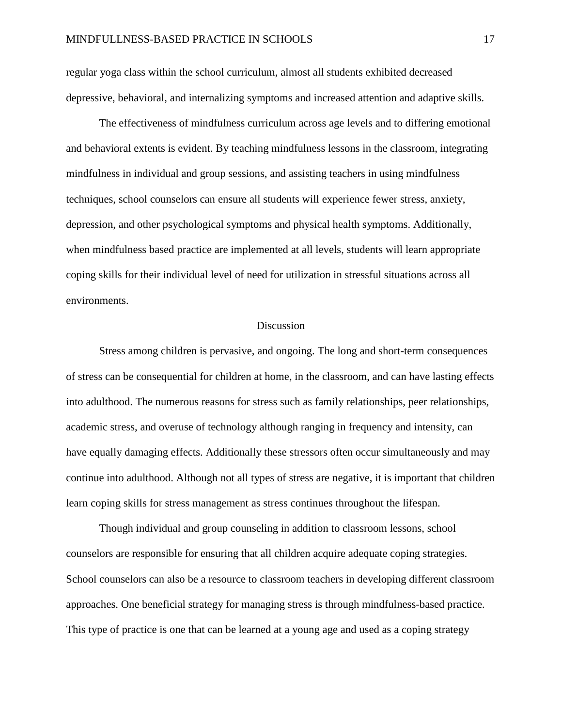regular yoga class within the school curriculum, almost all students exhibited decreased depressive, behavioral, and internalizing symptoms and increased attention and adaptive skills.

The effectiveness of mindfulness curriculum across age levels and to differing emotional and behavioral extents is evident. By teaching mindfulness lessons in the classroom, integrating mindfulness in individual and group sessions, and assisting teachers in using mindfulness techniques, school counselors can ensure all students will experience fewer stress, anxiety, depression, and other psychological symptoms and physical health symptoms. Additionally, when mindfulness based practice are implemented at all levels, students will learn appropriate coping skills for their individual level of need for utilization in stressful situations across all environments.

#### **Discussion**

Stress among children is pervasive, and ongoing. The long and short-term consequences of stress can be consequential for children at home, in the classroom, and can have lasting effects into adulthood. The numerous reasons for stress such as family relationships, peer relationships, academic stress, and overuse of technology although ranging in frequency and intensity, can have equally damaging effects. Additionally these stressors often occur simultaneously and may continue into adulthood. Although not all types of stress are negative, it is important that children learn coping skills for stress management as stress continues throughout the lifespan.

Though individual and group counseling in addition to classroom lessons, school counselors are responsible for ensuring that all children acquire adequate coping strategies. School counselors can also be a resource to classroom teachers in developing different classroom approaches. One beneficial strategy for managing stress is through mindfulness-based practice. This type of practice is one that can be learned at a young age and used as a coping strategy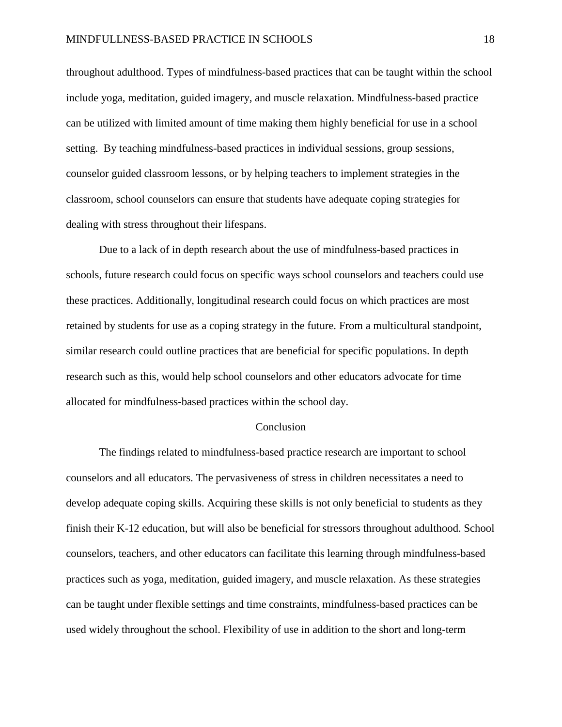throughout adulthood. Types of mindfulness-based practices that can be taught within the school include yoga, meditation, guided imagery, and muscle relaxation. Mindfulness-based practice can be utilized with limited amount of time making them highly beneficial for use in a school setting. By teaching mindfulness-based practices in individual sessions, group sessions, counselor guided classroom lessons, or by helping teachers to implement strategies in the classroom, school counselors can ensure that students have adequate coping strategies for dealing with stress throughout their lifespans.

Due to a lack of in depth research about the use of mindfulness-based practices in schools, future research could focus on specific ways school counselors and teachers could use these practices. Additionally, longitudinal research could focus on which practices are most retained by students for use as a coping strategy in the future. From a multicultural standpoint, similar research could outline practices that are beneficial for specific populations. In depth research such as this, would help school counselors and other educators advocate for time allocated for mindfulness-based practices within the school day.

#### Conclusion

The findings related to mindfulness-based practice research are important to school counselors and all educators. The pervasiveness of stress in children necessitates a need to develop adequate coping skills. Acquiring these skills is not only beneficial to students as they finish their K-12 education, but will also be beneficial for stressors throughout adulthood. School counselors, teachers, and other educators can facilitate this learning through mindfulness-based practices such as yoga, meditation, guided imagery, and muscle relaxation. As these strategies can be taught under flexible settings and time constraints, mindfulness-based practices can be used widely throughout the school. Flexibility of use in addition to the short and long-term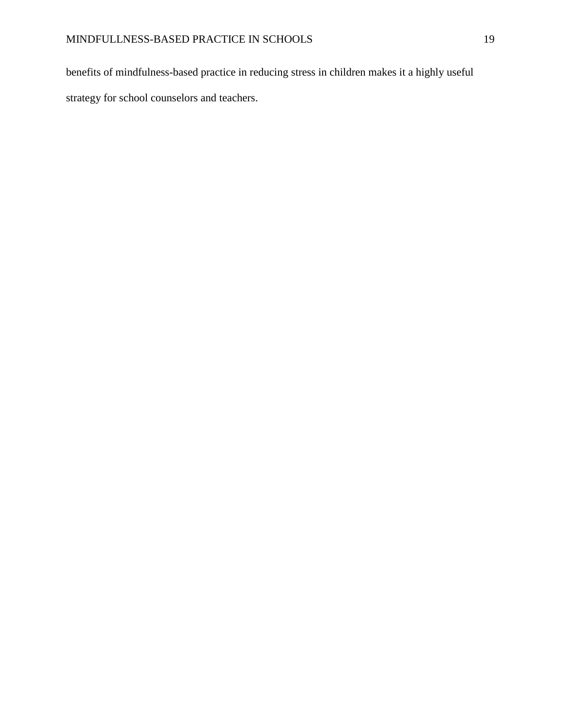benefits of mindfulness-based practice in reducing stress in children makes it a highly useful strategy for school counselors and teachers.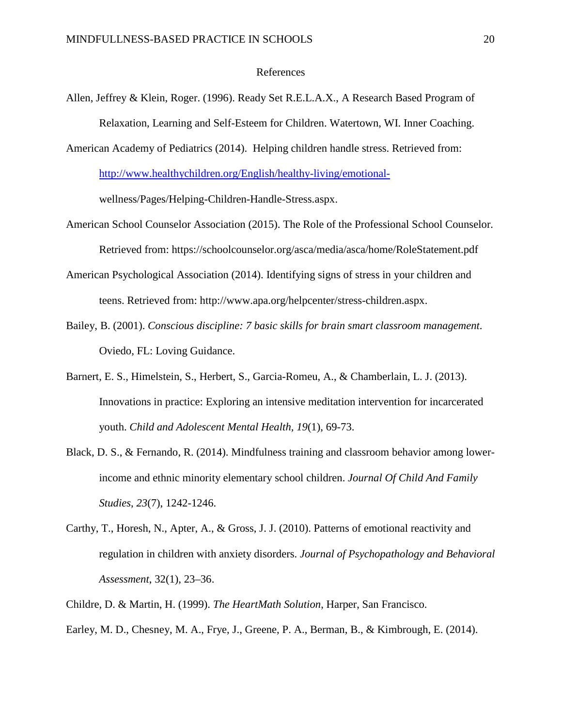#### References

Allen, Jeffrey & Klein, Roger. (1996). Ready Set R.E.L.A.X., A Research Based Program of Relaxation, Learning and Self-Esteem for Children. Watertown, WI. Inner Coaching.

American Academy of Pediatrics (2014). Helping children handle stress. Retrieved from: [http://www.healthychildren.org/English/healthy-living/emotional](http://www.healthychildren.org/English/healthy-living/emotional-)wellness/Pages/Helping-Children-Handle-Stress.aspx.

- American School Counselor Association (2015). The Role of the Professional School Counselor. Retrieved from: https://schoolcounselor.org/asca/media/asca/home/RoleStatement.pdf
- American Psychological Association (2014). Identifying signs of stress in your children and teens. Retrieved from: http://www.apa.org/helpcenter/stress-children.aspx.
- Bailey, B. (2001). *Conscious discipline: 7 basic skills for brain smart classroom management*. Oviedo, FL: Loving Guidance.
- Barnert, E. S., Himelstein, S., Herbert, S., Garcia-Romeu, A., & Chamberlain, L. J. (2013). Innovations in practice: Exploring an intensive meditation intervention for incarcerated youth. *Child and Adolescent Mental Health, 19*(1), 69-73.
- Black, D. S., & Fernando, R. (2014). Mindfulness training and classroom behavior among lowerincome and ethnic minority elementary school children. *Journal Of Child And Family Studies*, *23*(7), 1242-1246.
- Carthy, T., Horesh, N., Apter, A., & Gross, J. J. (2010). Patterns of emotional reactivity and regulation in children with anxiety disorders. *Journal of Psychopathology and Behavioral Assessment*, 32(1), 23–36.
- Childre, D. & Martin, H. (1999). *The HeartMath Solution*, Harper, San Francisco.
- Earley, M. D., Chesney, M. A., Frye, J., Greene, P. A., Berman, B., & Kimbrough, E. (2014).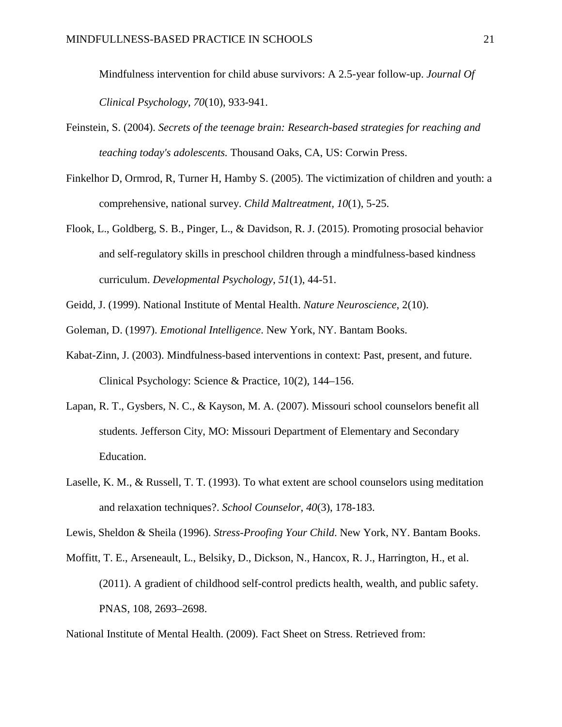Mindfulness intervention for child abuse survivors: A 2.5‐year follow‐up. *Journal Of Clinical Psychology*, *70*(10), 933-941.

- Feinstein, S. (2004). *Secrets of the teenage brain: Research-based strategies for reaching and teaching today's adolescents.* Thousand Oaks, CA, US: Corwin Press.
- Finkelhor D, Ormrod, R, Turner H, Hamby S. (2005). The victimization of children and youth: a comprehensive, national survey. *Child Maltreatment, 10*(1), 5-25.
- Flook, L., Goldberg, S. B., Pinger, L., & Davidson, R. J. (2015). Promoting prosocial behavior and self-regulatory skills in preschool children through a mindfulness-based kindness curriculum. *Developmental Psychology*, *51*(1), 44-51.
- Geidd, J. (1999). National Institute of Mental Health. *Nature Neuroscience*, 2(10).
- Goleman, D. (1997). *[Emotional Intelligence](http://newhorizons.org/strategies/emotional/goleman.htm)*. New York, NY. Bantam Books.
- Kabat-Zinn, J. (2003). Mindfulness-based interventions in context: Past, present, and future. Clinical Psychology: Science & Practice, 10(2), 144–156.
- Lapan, R. T., Gysbers, N. C., & Kayson, M. A. (2007). Missouri school counselors benefit all students*.* Jefferson City, MO: Missouri Department of Elementary and Secondary Education.
- Laselle, K. M., & Russell, T. T. (1993). To what extent are school counselors using meditation and relaxation techniques?. *School Counselor*, *40*(3), 178-183.

Lewis, Sheldon & Sheila (1996). *Stress-Proofing Your Child*. New York, NY. Bantam Books.

Moffitt, T. E., Arseneault, L., Belsiky, D., Dickson, N., Hancox, R. J., Harrington, H., et al. (2011). A gradient of childhood self-control predicts health, wealth, and public safety. PNAS, 108, 2693–2698.

National Institute of Mental Health. (2009). Fact Sheet on Stress. Retrieved from: